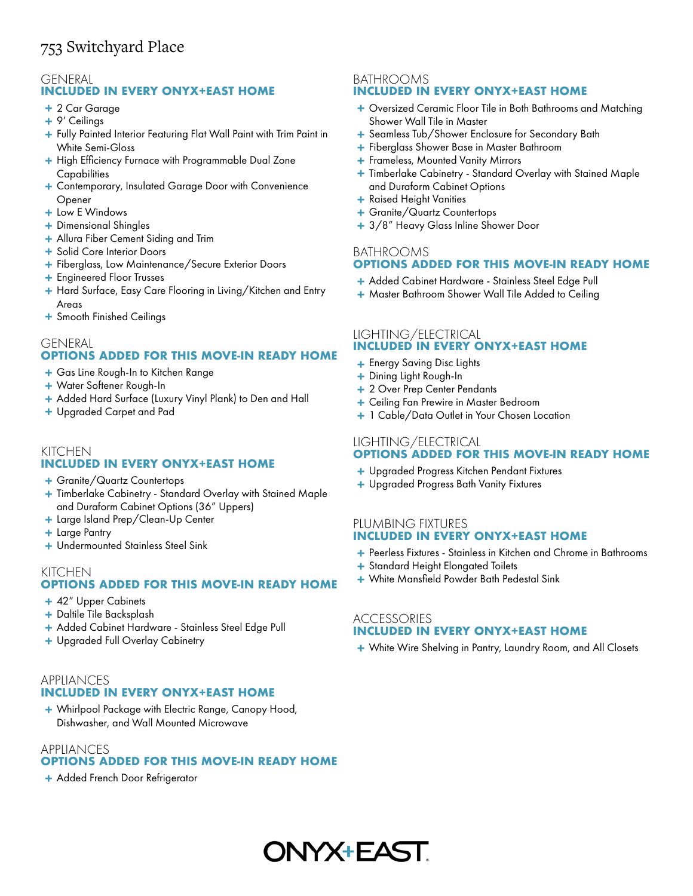## 753 Switchyard Place

# GENERAL

## **INCLUDED IN EVERY ONYX+EAST HOME**

- **+** 2 Car Garage
- **+** 9' Ceilings
- $+$  Fully Painted Interior Featuring Flat Wall Paint with Trim Paint in White Semi-Gloss
- High Efficiency Furnace with Programmable Dual Zone **+ Capabilities**
- Contemporary, Insulated Garage Door with Convenience **+** Opener
- **+** Low E Windows
- **+** Dimensional Shingles
- **+** Allura Fiber Cement Siding and Trim
- **+** Solid Core Interior Doors
- **+** Fiberglass, Low Maintenance/Secure Exterior Doors
- **+** Engineered Floor Trusses
- Hard Surface, Easy Care Flooring in Living/Kitchen and Entry **+** Areas
- **+** Smooth Finished Ceilings

## **OPTIONS ADDED FOR THIS MOVE-IN READY HOME** GENERAL

- **+** Gas Line Rough-In to Kitchen Range
- **+** Water Softener Rough-In
- **+** Added Hard Surface (Luxury Vinyl Plank) to Den and Hall
- **+** Upgraded Carpet and Pad

#### KITCHEN **INCLUDED IN EVERY ONYX+EAST HOME**

- **+** Granite/Quartz Countertops
- Timberlake Cabinetry Standard Overlay with Stained Maple **+** and Duraform Cabinet Options (36" Uppers)
- **+** Large Island Prep/Clean-Up Center
- **+** Large Pantry
- **+** Undermounted Stainless Steel Sink

## **OPTIONS ADDED FOR THIS MOVE-IN READY HOME** KITCHEN

- **+** 42" Upper Cabinets
- **+** Daltile Tile Backsplash
- **+** Added Cabinet Hardware Stainless Steel Edge Pull
- **+** Upgraded Full Overlay Cabinetry

## **APPIIANCES INCLUDED IN EVERY ONYX+EAST HOME**

Whirlpool Package with Electric Range, Canopy Hood, **+** Dishwasher, and Wall Mounted Microwave

## **OPTIONS ADDED FOR THIS MOVE-IN READY HOME** APPLIANCES

**+** Added French Door Refrigerator

#### BATHROOMS **INCLUDED IN EVERY ONYX+EAST HOME**

- Oversized Ceramic Floor Tile in Both Bathrooms and Matching **+** Shower Wall Tile in Master
- **+** Seamless Tub/Shower Enclosure for Secondary Bath
- **+** Fiberglass Shower Base in Master Bathroom
- **+** Frameless, Mounted Vanity Mirrors
- Timberlake Cabinetry Standard Overlay with Stained Maple **+** and Duraform Cabinet Options
- **+** Raised Height Vanities
- **+** Granite/Quartz Countertops
- **+** 3/8" Heavy Glass Inline Shower Door

## **OPTIONS ADDED FOR THIS MOVE-IN READY HOME** BATHROOMS

- **+** Added Cabinet Hardware Stainless Steel Edge Pull
- **+** Master Bathroom Shower Wall Tile Added to Ceiling

## **INCLUDED IN EVERY ONYX+EAST HOME** LIGHTING/ELECTRICAL

- Energy Saving Disc Lights **+**
- **+** Dining Light Rough-In
- **+** 2 Over Prep Center Pendants
- **+** Ceiling Fan Prewire in Master Bedroom
- **+** 1 Cable/Data Outlet in Your Chosen Location

## **OPTIONS ADDED FOR THIS MOVE-IN READY HOME** LIGHTING/ELECTRICAL

- **+** Upgraded Progress Kitchen Pendant Fixtures
- **+** Upgraded Progress Bath Vanity Fixtures

## PLUMBING FIXTURES **INCLUDED IN EVERY ONYX+EAST HOME**

- Peerless Fixtures Stainless in Kitchen and Chrome in Bathrooms **+**
- **+** Standard Height Elongated Toilets
- **+** White Mansfield Powder Bath Pedestal Sink

## ACCESSORIES **INCLUDED IN EVERY ONYX+EAST HOME**

**+** White Wire Shelving in Pantry, Laundry Room, and All Closets